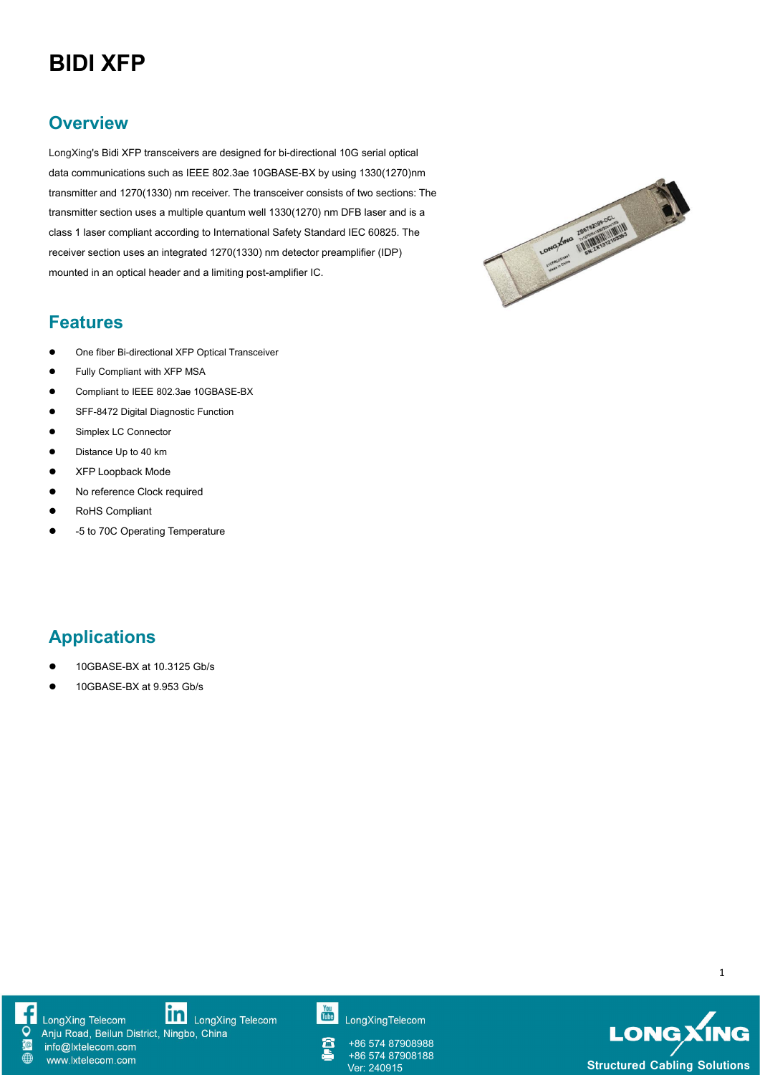# **BIDI XFP**

### **Overview**

LongXing's Bidi XFP transceivers are designed for bi-directional 10G serial optical data communications such as IEEE 802.3ae 10GBASE-BX by using 1330(1270)nm<br>transmitter and 1270(1330) nm receiver. The transceiver consists of two sections: The<br>transmitter section uses a multiple quantum well 1330(1270) nm transmitter and 1270(1330) nm receiver. The transceiver consists of two sections: The transmitter section uses a multiple quantum well 1330(1270) nm DFB laser and is a class 1 laser compliant according to International Safety Standard IEC 60825. The receiver section uses an integrated 1270(1330) nm detector preamplifier (IDP) mounted in an optical header and a limiting post-amplifier IC.



#### **Features**

- One fiber Bi-directional XFP Optical Transceiver
- **•** Fully Compliant with XFP MSA
- Compliant to IEEE 802.3ae 10GBASE-BX
- SFF-8472 Digital Diagnostic Function
- **Simplex LC Connector**
- Distance Up to 40 km
- **XFP Loopback Mode**
- No reference Clock required
- RoHS Compliant
- -5 to 70C Operating Temperature

## **Applications**

- 10GBASE-BX at 10.3125 Gb/s
- 10GBASE-BX at 9.953 Gb/s



**in** LongXing Telecom LongXing Telecom Anju Road, Beilun District, Ningbo, China

info@lxtelecom.com

www.lxtelecom.com



+86 574 87908988 +86 574 87908188

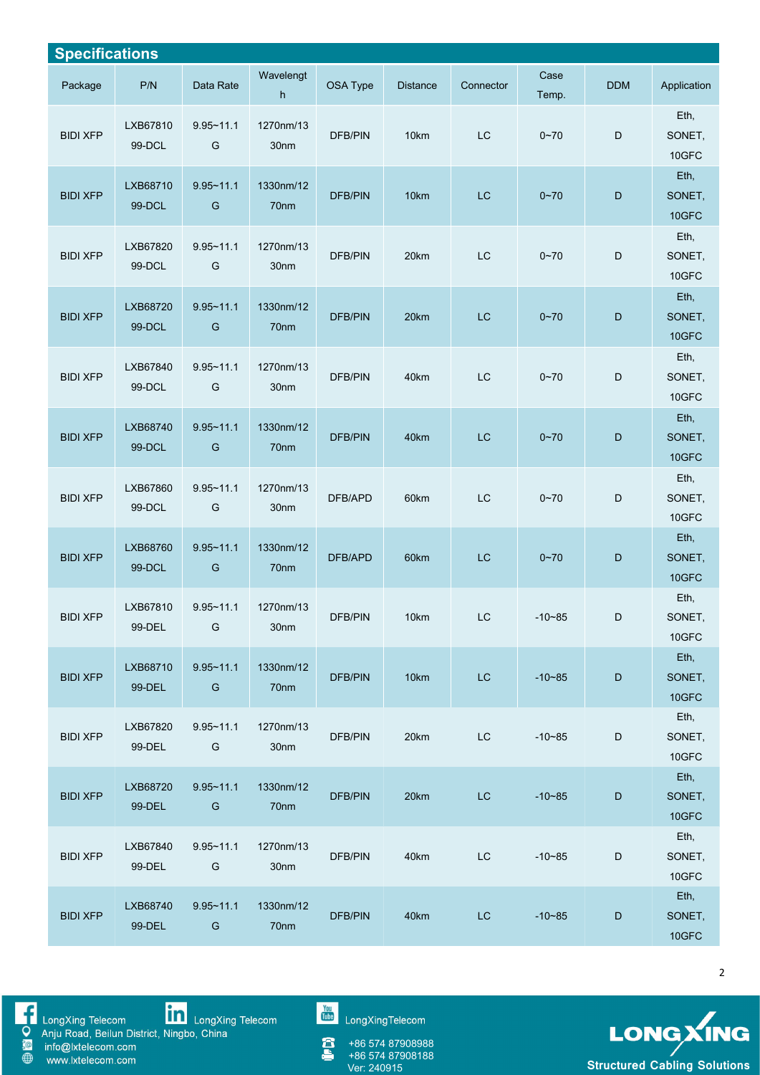| <b>Specifications</b> |                    |                                |                               |                |                 |           |               |             |                         |
|-----------------------|--------------------|--------------------------------|-------------------------------|----------------|-----------------|-----------|---------------|-------------|-------------------------|
| Package               | P/N                | Data Rate                      | Wavelengt<br>h                | OSA Type       | <b>Distance</b> | Connector | Case<br>Temp. | <b>DDM</b>  | Application             |
| <b>BIDI XFP</b>       | LXB67810<br>99-DCL | $9.95 - 11.1$<br>G             | 1270nm/13<br>30nm             | DFB/PIN        | 10km            | LC        | $0 - 70$      | $\mathsf D$ | Eth,<br>SONET,<br>10GFC |
| <b>BIDI XFP</b>       | LXB68710<br>99-DCL | $9.95 - 11.1$<br>G             | 1330nm/12<br>70nm             | <b>DFB/PIN</b> | 10km            | LC        | $0 - 70$      | $\mathsf D$ | Eth,<br>SONET,<br>10GFC |
| <b>BIDI XFP</b>       | LXB67820<br>99-DCL | $9.95 - 11.1$<br>G             | 1270nm/13<br>30nm             | DFB/PIN        | 20km            | LC        | $0 - 70$      | D           | Eth,<br>SONET,<br>10GFC |
| <b>BIDI XFP</b>       | LXB68720<br>99-DCL | $9.95 - 11.1$<br>G             | 1330nm/12<br>70nm             | <b>DFB/PIN</b> | 20km            | LC        | $0 - 70$      | $\mathsf D$ | Eth,<br>SONET,<br>10GFC |
| <b>BIDI XFP</b>       | LXB67840<br>99-DCL | $9.95 - 11.1$<br>G             | 1270nm/13<br>30 <sub>nm</sub> | DFB/PIN        | 40km            | LC        | $0 - 70$      | D           | Eth,<br>SONET,<br>10GFC |
| <b>BIDI XFP</b>       | LXB68740<br>99-DCL | $9.95 - 11.1$<br>G             | 1330nm/12<br>70 <sub>nm</sub> | <b>DFB/PIN</b> | 40km            | LC        | $0 - 70$      | $\mathsf D$ | Eth,<br>SONET,<br>10GFC |
| <b>BIDI XFP</b>       | LXB67860<br>99-DCL | $9.95 - 11.1$<br>G             | 1270nm/13<br>30 <sub>nm</sub> | DFB/APD        | 60km            | LC        | $0 - 70$      | D           | Eth,<br>SONET,<br>10GFC |
| <b>BIDI XFP</b>       | LXB68760<br>99-DCL | $9.95 - 11.1$<br>G             | 1330nm/12<br>70nm             | DFB/APD        | 60km            | LC        | $0 - 70$      | $\mathsf D$ | Eth,<br>SONET,<br>10GFC |
| <b>BIDI XFP</b>       | LXB67810<br>99-DEL | $9.95 - 11.1$<br>G             | 1270nm/13<br>30nm             | DFB/PIN        | 10km            | <b>LC</b> | $-10 - 85$    | D           | Eth,<br>SONET,<br>10GFC |
| <b>BIDI XFP</b>       | LXB68710<br>99-DEL | $9.95 - 11.1$<br>G             | 1330nm/12<br>70nm             | <b>DFB/PIN</b> | 10km            | LC        | $-10 - 85$    | $\mathsf D$ | Eth,<br>SONET,<br>10GFC |
| <b>BIDI XFP</b>       | LXB67820<br>99-DEL | $9.95 - 11.1$<br>G             | 1270nm/13<br>30nm             | DFB/PIN        | 20km            | <b>LC</b> | $-10 - 85$    | $\mathsf D$ | Eth,<br>SONET,<br>10GFC |
| <b>BIDI XFP</b>       | LXB68720<br>99-DEL | $9.95 - 11.1$<br>G             | 1330nm/12<br>70nm             | <b>DFB/PIN</b> | 20km            | <b>LC</b> | $-10 - 85$    | $\mathsf D$ | Eth,<br>SONET,<br>10GFC |
| <b>BIDI XFP</b>       | LXB67840<br>99-DEL | $9.95 - 11.1$<br>G             | 1270nm/13<br>30nm             | <b>DFB/PIN</b> | 40km            | <b>LC</b> | $-10 - 85$    | $\mathsf D$ | Eth,<br>SONET,<br>10GFC |
| <b>BIDI XFP</b>       | LXB68740<br>99-DEL | $9.95 - 11.1$<br>${\mathsf G}$ | 1330nm/12<br>70nm             | <b>DFB/PIN</b> | 40km            | LC        | $-10 - 85$    | $\mathsf D$ | Eth,<br>SONET,<br>10GFC |

SORIE

www.lxtelecom.com

LongXing Telecom<br>
Anju Road, Beilun District, Ningbo, China<br>
info@lxtelecom.com<br>
www.lxtelecom.com

You<br>Tube LongXingTelecom

+86 574 87908988<br>+86 574 87908188<br>Ver: 240915 Â



 $\overline{2}$